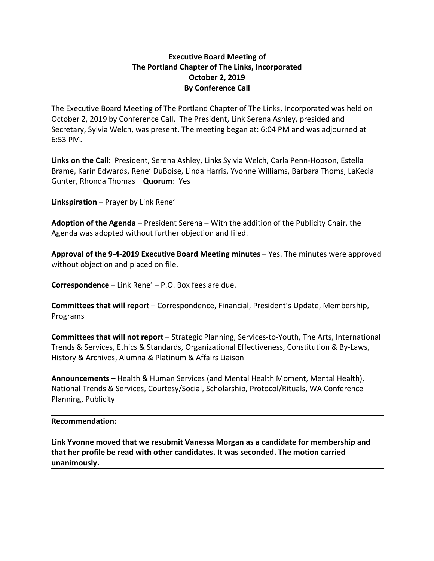## **Executive Board Meeting of The Portland Chapter of The Links, Incorporated October 2, 2019 By Conference Call**

The Executive Board Meeting of The Portland Chapter of The Links, Incorporated was held on October 2, 2019 by Conference Call. The President, Link Serena Ashley, presided and Secretary, Sylvia Welch, was present. The meeting began at: 6:04 PM and was adjourned at 6:53 PM.

**Links on the Call**: President, Serena Ashley, Links Sylvia Welch, Carla Penn-Hopson, Estella Brame, Karin Edwards, Rene' DuBoise, Linda Harris, Yvonne Williams, Barbara Thoms, LaKecia Gunter, Rhonda Thomas **Quorum**: Yes

**Linkspiration** – Prayer by Link Rene'

**Adoption of the Agenda** – President Serena – With the addition of the Publicity Chair, the Agenda was adopted without further objection and filed.

**Approval of the 9-4-2019 Executive Board Meeting minutes** – Yes. The minutes were approved without objection and placed on file.

**Correspondence** – Link Rene' – P.O. Box fees are due.

**Committees that will rep**ort – Correspondence, Financial, President's Update, Membership, Programs

**Committees that will not report** – Strategic Planning, Services-to-Youth, The Arts, International Trends & Services, Ethics & Standards, Organizational Effectiveness, Constitution & By-Laws, History & Archives, Alumna & Platinum & Affairs Liaison

**Announcements** – Health & Human Services (and Mental Health Moment, Mental Health), National Trends & Services, Courtesy/Social, Scholarship, Protocol/Rituals, WA Conference Planning, Publicity

## **Recommendation:**

**Link Yvonne moved that we resubmit Vanessa Morgan as a candidate for membership and that her profile be read with other candidates. It was seconded. The motion carried unanimously.**